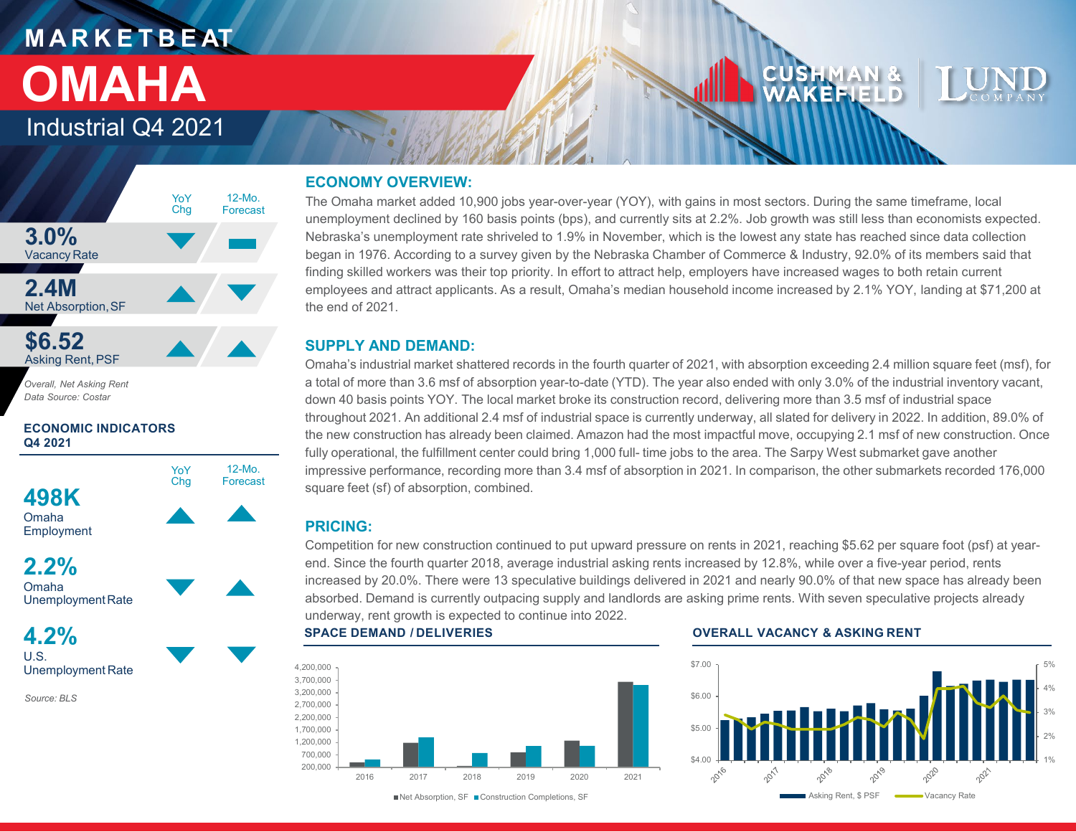# **M A R K E T B E AT OMAHA**

Industrial Q4 2021



*Overall, Net Asking Rent Data Source: Costar*

**ECONOMIC INDICATORS Q4 2021**



Omaha Employment





**4.2%** U.S. Unemployment Rate

*Source: BLS*

## **ECONOMY OVERVIEW:**

The Omaha market added 10,900 jobs year-over-year (YOY), with gains in most sectors. During the same timeframe, local unemployment declined by 160 basis points (bps), and currently sits at 2.2%. Job growth was still less than economists expected. Nebraska's unemployment rate shriveled to 1.9% in November, which is the lowest any state has reached since data collection began in 1976. According to a survey given by the Nebraska Chamber of Commerce & Industry, 92.0% of its members said that finding skilled workers was their top priority. In effort to attract help, employers have increased wages to both retain current employees and attract applicants. As a result, Omaha's median household income increased by 2.1% YOY, landing at \$71,200 at the end of 2021.

## **SUPPLY AND DEMAND:**

Omaha's industrial market shattered records in the fourth quarter of 2021, with absorption exceeding 2.4 million square feet (msf), for a total of more than 3.6 msf of absorption year-to-date (YTD). The year also ended with only 3.0% of the industrial inventory vacant, down 40 basis points YOY. The local market broke its construction record, delivering more than 3.5 msf of industrial space throughout 2021. An additional 2.4 msf of industrial space is currently underway, all slated for delivery in 2022. In addition, 89.0% of the new construction has already been claimed. Amazon had the most impactful move, occupying 2.1 msf of new construction. Once fully operational, the fulfillment center could bring 1,000 full- time jobs to the area. The Sarpy West submarket gave another impressive performance, recording more than 3.4 msf of absorption in 2021. In comparison, the other submarkets recorded 176,000 square feet (sf) of absorption, combined.

## **PRICING:**

12-Mo. Forecast

YoY Chg

> Competition for new construction continued to put upward pressure on rents in 2021, reaching \$5.62 per square foot (psf) at yearend. Since the fourth quarter 2018, average industrial asking rents increased by 12.8%, while over a five-year period, rents increased by 20.0%. There were 13 speculative buildings delivered in 2021 and nearly 90.0% of that new space has already been absorbed. Demand is currently outpacing supply and landlords are asking prime rents. With seven speculative projects already underway, rent growth is expected to continue into 2022.



#### **SPACE DEMAND / DELIVERIES OVERALL VACANCY & ASKING RENT**

CUSHMAN &<br>WAKEFIELD



Net Absorption, SF Construction Completions, SF